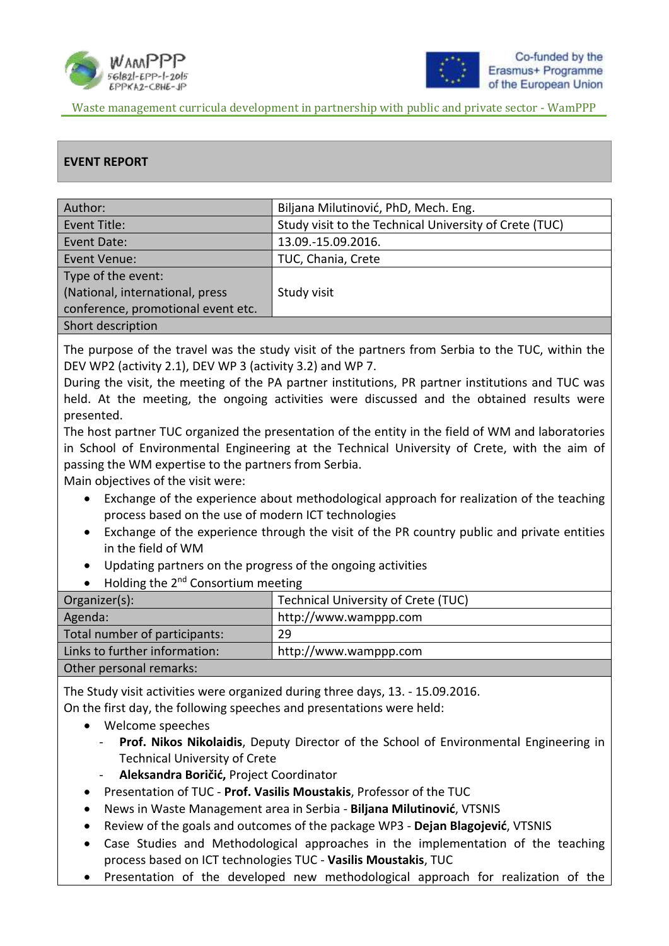



#### **EVENT REPORT**

| Author:                            | Biljana Milutinović, PhD, Mech. Eng.                   |
|------------------------------------|--------------------------------------------------------|
| Event Title:                       | Study visit to the Technical University of Crete (TUC) |
| Event Date:                        | 13.09.-15.09.2016.                                     |
| Event Venue:                       | TUC, Chania, Crete                                     |
| Type of the event:                 |                                                        |
| (National, international, press    | Study visit                                            |
| conference, promotional event etc. |                                                        |
| Short description                  |                                                        |

The purpose of the travel was the study visit of the partners from Serbia to the TUC, within the DEV WP2 (activity 2.1), DEV WP 3 (activity 3.2) and WP 7.

During the visit, the meeting of the PA partner institutions, PR partner institutions and TUC was held. At the meeting, the ongoing activities were discussed and the obtained results were presented.

The host partner TUC organized the presentation of the entity in the field of WM and laboratories in School of Environmental Engineering at the Technical University of Crete, with the aim of passing the WM expertise to the partners from Serbia.

Main objectives of the visit were:

- Exchange of the experience about methodological approach for realization of the teaching process based on the use of modern ICT technologies
- Exchange of the experience through the visit of the PR country public and private entities in the field of WM
- Updating partners on the progress of the ongoing activities
- $\bullet$  Holding the 2<sup>nd</sup> Consortium meeting

| Organizer(s):                 | Technical University of Crete (TUC) |
|-------------------------------|-------------------------------------|
| Agenda:                       | http://www.wamppp.com               |
| Total number of participants: | 29                                  |
| Links to further information: | http://www.wamppp.com               |
| Other personal remarks:       |                                     |

The Study visit activities were organized during three days, 13. - 15.09.2016.

On the first day, the following speeches and presentations were held:

- Welcome speeches
	- Prof. Nikos Nikolaidis, Deputy Director of the School of Environmental Engineering in Technical University of Crete
	- **Aleksandra Boričić,** Project Coordinator
- Presentation of TUC **Prof. Vasilis Moustakis**, Professor of the TUC
- News in Waste Management area in Serbia **Biljana Milutinović**, VTSNIS
- Review of the goals and outcomes of the package WP3 **Dejan Blagojević**, VTSNIS
- Case Studies and Methodological approaches in the implementation of the teaching process based on ICT technologies TUC - **Vasilis Moustakis**, TUC
- Presentation of the developed new methodological approach for realization of the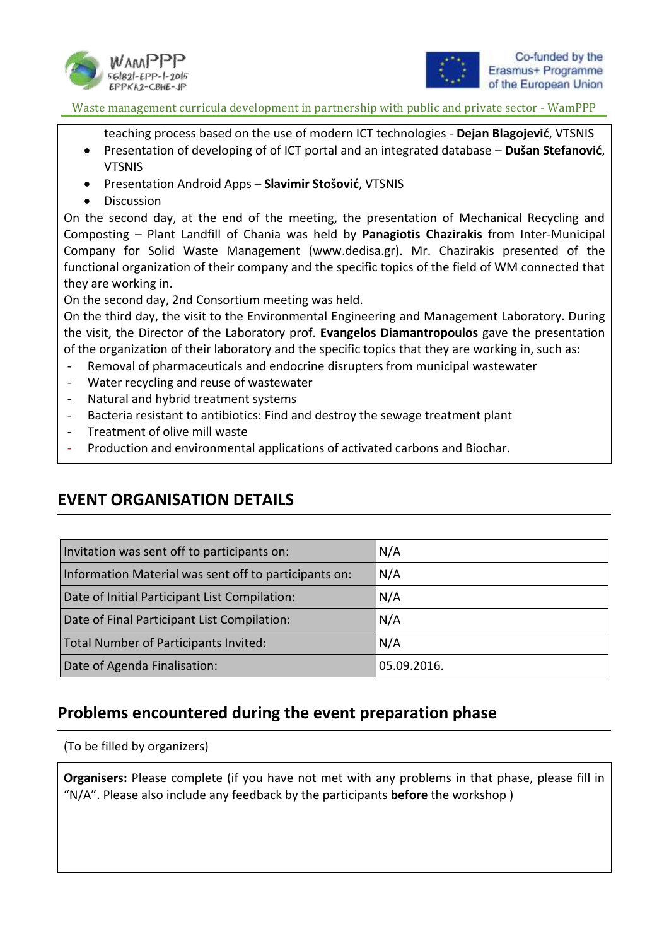



teaching process based on the use of modern ICT technologies - **Dejan Blagojević**, VTSNIS

- Presentation of developing of of ICT portal and an integrated database **Dušan Stefanović**, VTSNIS
- Presentation Android Apps **Slavimir Stošović**, VTSNIS
- Discussion

On the second day, at the end of the meeting, the presentation of Mechanical Recycling and Composting – Plant Landfill of Chania was held by **Panagiotis Chazirakis** from Inter-Municipal Company for Solid Waste Management (www.dedisa.gr). Mr. Chazirakis presented of the functional organization of their company and the specific topics of the field of WM connected that they are working in.

On the second day, 2nd Consortium meeting was held.

On the third day, the visit to the Environmental Engineering and Management Laboratory. During the visit, the Director of the Laboratory prof. **Evangelos Diamantropoulos** gave the presentation of the organization of their laboratory and the specific topics that they are working in, such as:

- Removal of pharmaceuticals and endocrine disrupters from municipal wastewater
- Water recycling and reuse of wastewater
- Natural and hybrid treatment systems
- Bacteria resistant to antibiotics: Find and destroy the sewage treatment plant
- Treatment of olive mill waste
- Production and environmental applications of activated carbons and Biochar.

### **EVENT ORGANISATION DETAILS**

| Invitation was sent off to participants on:           | N/A         |
|-------------------------------------------------------|-------------|
| Information Material was sent off to participants on: | N/A         |
| Date of Initial Participant List Compilation:         | N/A         |
| Date of Final Participant List Compilation:           | N/A         |
| Total Number of Participants Invited:                 | N/A         |
| Date of Agenda Finalisation:                          | 05.09.2016. |

### **Problems encountered during the event preparation phase**

(To be filled by organizers)

**Organisers:** Please complete (if you have not met with any problems in that phase, please fill in "N/A". Please also include any feedback by the participants **before** the workshop )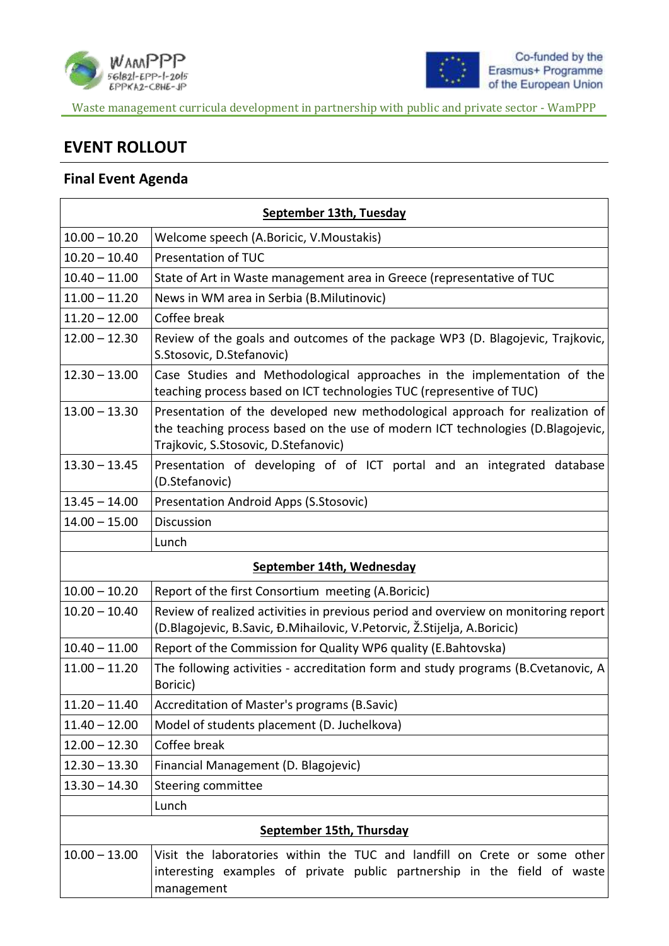



# **EVENT ROLLOUT**

#### **Final Event Agenda**

|                 | September 13th, Tuesday                                                                                                                                                                                 |  |  |  |  |
|-----------------|---------------------------------------------------------------------------------------------------------------------------------------------------------------------------------------------------------|--|--|--|--|
| $10.00 - 10.20$ | Welcome speech (A.Boricic, V.Moustakis)                                                                                                                                                                 |  |  |  |  |
| $10.20 - 10.40$ | Presentation of TUC                                                                                                                                                                                     |  |  |  |  |
| $10.40 - 11.00$ | State of Art in Waste management area in Greece (representative of TUC                                                                                                                                  |  |  |  |  |
| $11.00 - 11.20$ | News in WM area in Serbia (B.Milutinovic)                                                                                                                                                               |  |  |  |  |
| $11.20 - 12.00$ | Coffee break                                                                                                                                                                                            |  |  |  |  |
| $12.00 - 12.30$ | Review of the goals and outcomes of the package WP3 (D. Blagojevic, Trajkovic,<br>S.Stosovic, D.Stefanovic)                                                                                             |  |  |  |  |
| $12.30 - 13.00$ | Case Studies and Methodological approaches in the implementation of the<br>teaching process based on ICT technologies TUC (representive of TUC)                                                         |  |  |  |  |
| $13.00 - 13.30$ | Presentation of the developed new methodological approach for realization of<br>the teaching process based on the use of modern ICT technologies (D.Blagojevic,<br>Trajkovic, S.Stosovic, D.Stefanovic) |  |  |  |  |
| $13.30 - 13.45$ | Presentation of developing of of ICT portal and an integrated database<br>(D.Stefanovic)                                                                                                                |  |  |  |  |
| $13.45 - 14.00$ | Presentation Android Apps (S.Stosovic)                                                                                                                                                                  |  |  |  |  |
| $14.00 - 15.00$ | Discussion                                                                                                                                                                                              |  |  |  |  |
|                 | Lunch                                                                                                                                                                                                   |  |  |  |  |
|                 | September 14th, Wednesday                                                                                                                                                                               |  |  |  |  |
| $10.00 - 10.20$ | Report of the first Consortium meeting (A.Boricic)                                                                                                                                                      |  |  |  |  |
| $10.20 - 10.40$ | Review of realized activities in previous period and overview on monitoring report<br>(D.Blagojevic, B.Savic, Đ.Mihailovic, V.Petorvic, Ž.Stijelja, A.Boricic)                                          |  |  |  |  |
| $10.40 - 11.00$ | Report of the Commission for Quality WP6 quality (E.Bahtovska)                                                                                                                                          |  |  |  |  |
| $11.00 - 11.20$ | The following activities - accreditation form and study programs (B.Cvetanovic, A<br>Boricic)                                                                                                           |  |  |  |  |
| $11.20 - 11.40$ | Accreditation of Master's programs (B.Savic)                                                                                                                                                            |  |  |  |  |
| $11.40 - 12.00$ | Model of students placement (D. Juchelkova)                                                                                                                                                             |  |  |  |  |
| $12.00 - 12.30$ | Coffee break                                                                                                                                                                                            |  |  |  |  |
| $12.30 - 13.30$ | Financial Management (D. Blagojevic)                                                                                                                                                                    |  |  |  |  |
| $13.30 - 14.30$ | Steering committee                                                                                                                                                                                      |  |  |  |  |
|                 | Lunch                                                                                                                                                                                                   |  |  |  |  |
|                 | September 15th, Thursday                                                                                                                                                                                |  |  |  |  |
| $10.00 - 13.00$ | Visit the laboratories within the TUC and landfill on Crete or some other<br>interesting examples of private public partnership in the field of waste<br>management                                     |  |  |  |  |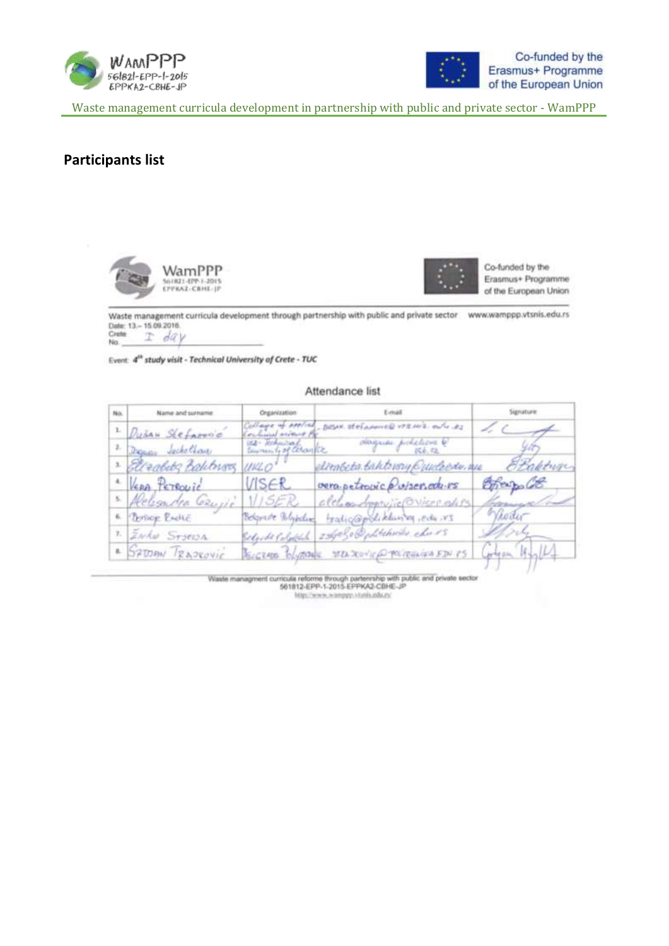



#### **Participants list**





Co-funded by the Erasmus+ Programme of the European Union

Waste management curricula development through partnership with public and private sector www.wamppp.vtsnis.edu.rs Date: 13 - 15.09.2016 Crete  $I$  day No

Event: 4<sup>th</sup> study visit - Technical University of Crete - TUC

#### Attendance list

| No. | Name and surname           | Organization                             | E-mail                                      |            |
|-----|----------------------------|------------------------------------------|---------------------------------------------|------------|
|     | 1 Dušan Stefarovic         | Collage of Applied<br>ochines without Pa | - pose stefamice vrews. als es              |            |
|     | 2 Danne Jochellaw          | use Technical                            | ologicas pichelicra Q<br>506.42             |            |
|     | · Elleaberg Balchians UNLO |                                          | elimbeta.taktersvy Quideedy, we             | Braktuge   |
|     | " VERA PETROVIC            | VISER                                    | vera petrovic posser.com                    | Offer malo |
|     | Religion Georgie VISER     |                                          | alchonorynic Overcalis                      |            |
|     | 6. Person Broke            | Relative Whiteham                        | tradicamoliklusia redu NS                   | Whoder     |
|     | 1. <i>Zwko Stseish</i>     |                                          | Selgide Colophia 296930 Opditchwile cher 15 | A.S.S.     |
|     | - SZOODN TRADROVIC         |                                          | RECENSE BLURONE STENDENT PROBLEMENTS        |            |

Waste managment curricula reforme through partenning with public and private sector 561812-EPP-1-2015-EPPKA2-CBHE-JP http://www.wamppy.vtunis.edu.nr/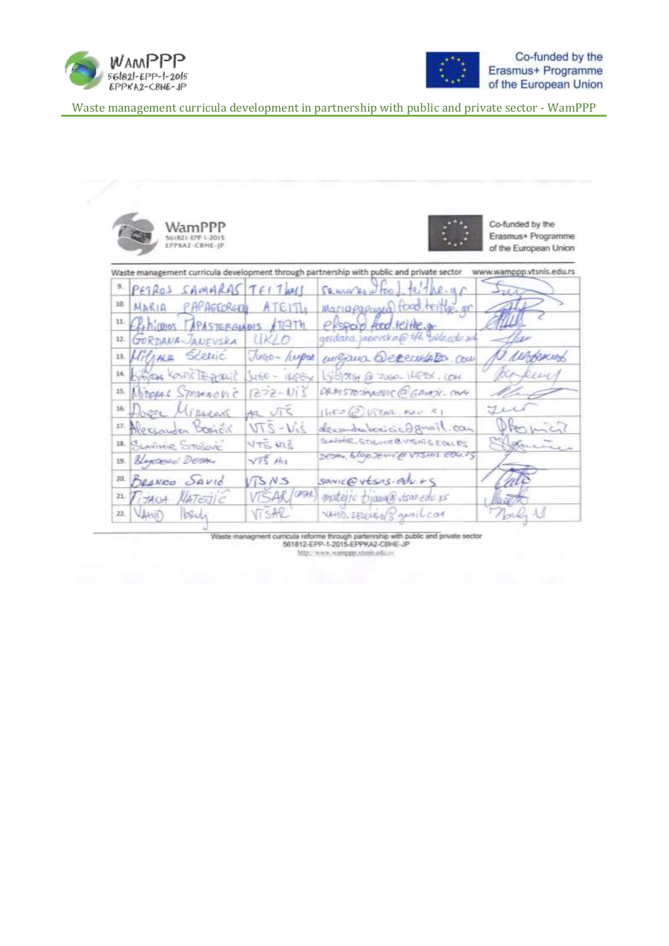



|     | WamPPP<br>561821-EPP-1-2015<br>EPPKA2-CBHE-IP |                     |                                                                                           | Co-funded by the<br>Erasmus+ Programme.<br>of the European Union |
|-----|-----------------------------------------------|---------------------|-------------------------------------------------------------------------------------------|------------------------------------------------------------------|
|     |                                               |                     | Waste management curricula development through partnership with public and private sector | www.wamppp.vtsnis.edu.rs                                         |
| 9.  | PETROS SAMARAS TELTWI                         |                     | $S$ euro kr $\omega$ too, te the $\alpha$                                                 |                                                                  |
| 10. | MARIA PAPAGEORGIE                             | ATE1                | Mariapappaga food teiling or                                                              |                                                                  |
|     | 11 Elehiumos TAPASTERGINOIS ATGTh             |                     | elspar food lette or                                                                      |                                                                  |
|     | 12 GORDANA JANEUSKA                           | UKLO                | gerdana, japovska @ tfh vilagdu su                                                        |                                                                  |
|     | 13 HilAHA Scelic                              | <b>Jugo- /wepos</b> | williams Occesibletos com                                                                 | U. alborney                                                      |
|     | 14 KINDA COSTIC DEGIONAL                      | $4460 - 1606x$      | Library @ zusa 1488X, COM                                                                 | Ruy                                                              |
|     | 15 MICORAL SPENNOVIC                          | $1272 - 113$        | DRAISTOSANOUIC @ GROATIC. COM                                                             |                                                                  |
|     | 16 Docte Mission                              | $ac\sqrt{16}$       | $14F2QVtan \sec 1$                                                                        |                                                                  |
|     | 17. Mersonder Boriet                          | $214 - 270$         | derenderbeveicie aguail.com                                                               |                                                                  |
|     | <b>IL BLAVINIR STOSOVIC</b>                   | <b>NTS HTS</b>      | SLAGHER, STUSINE & VISHIS E OLL PT                                                        | Holme                                                            |
|     | 19. <i>Blancouré Denne</i> .                  | $\sqrt{75}$ HI      | DESHA BLOW JENICES VISHIS EDU.FS                                                          |                                                                  |
|     | 20. BRANEO SAVIO                              | $\sqrt{3}$ NS       | sawic@vtsns.ab.rs                                                                         |                                                                  |
| 21. | TITANA AATERIC                                | VISAR/CAR           | materic triangle stratedu is                                                              |                                                                  |
| 22. | b401                                          | VistR               | VAHD. SELEURN 3 gentlecon                                                                 | John U                                                           |

Waste managment curricula reforme through partenrship with public and private sector<br>561812-EPP-1-2015-EPPKA2-CBHE-JP http://www.wamppp.stanis.edu.rs/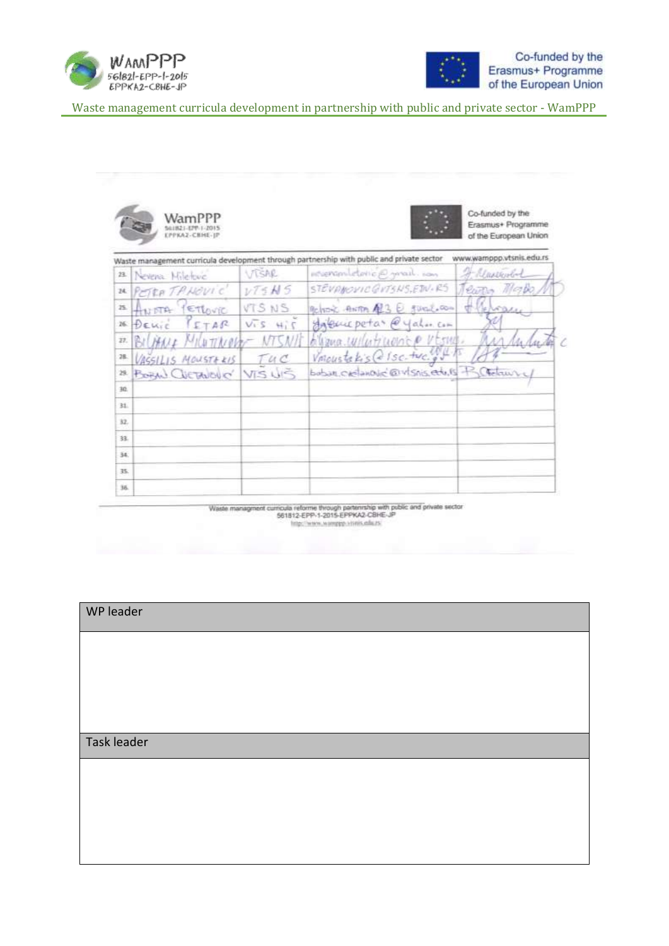



|     |                        |                   | Waste management curricula development through partnership with public and private sector | www.wamppp.vtsnis.edu.rs |
|-----|------------------------|-------------------|-------------------------------------------------------------------------------------------|--------------------------|
|     | 23 Nevera Miletove     | VISAR             | intervalidation anal ion                                                                  | A Massenbol              |
|     | M PETRATANOVIC         | $\nu 75M5$        | STEVANOVIC GITSNS, EDU. RS                                                                | Terms Made               |
|     | 15 ANDTA PETLOVIC      | VTS NS            | Belver's ANTIA AL3 E fürglichen                                                           | Heroe                    |
|     | 16 DELIC PETAR         | $2.44 \times 2.7$ | Habuic petas @yahar.com                                                                   |                          |
| 27. | BILHALL MILLITTRIOG    |                   | allong withtrapping visites.                                                              |                          |
| 28. | VASSILIS MOUSTERIS     | Tuc               | Vmoustakis @ Isc. two.go                                                                  |                          |
| 29. | BOAM CUETANONO' VIS US |                   | bobar creamonic @visnis.edu.15 B (Telawry)                                                |                          |
| 30. |                        |                   |                                                                                           |                          |
| 31. |                        |                   |                                                                                           |                          |
| 32. |                        |                   |                                                                                           |                          |
| 33. |                        |                   |                                                                                           |                          |
| 34. |                        |                   |                                                                                           |                          |
| 35. |                        |                   |                                                                                           |                          |
| 36. |                        |                   |                                                                                           |                          |

Waste managenent curricula reforme through partenrship with public and private sector<br>561812-EPP-1-2015-EPPKA2-CBHE-JP http://www.wamppp.visnis.edu.zs

| WP leader   |  |  |
|-------------|--|--|
|             |  |  |
|             |  |  |
|             |  |  |
| Task leader |  |  |
|             |  |  |
|             |  |  |
|             |  |  |
|             |  |  |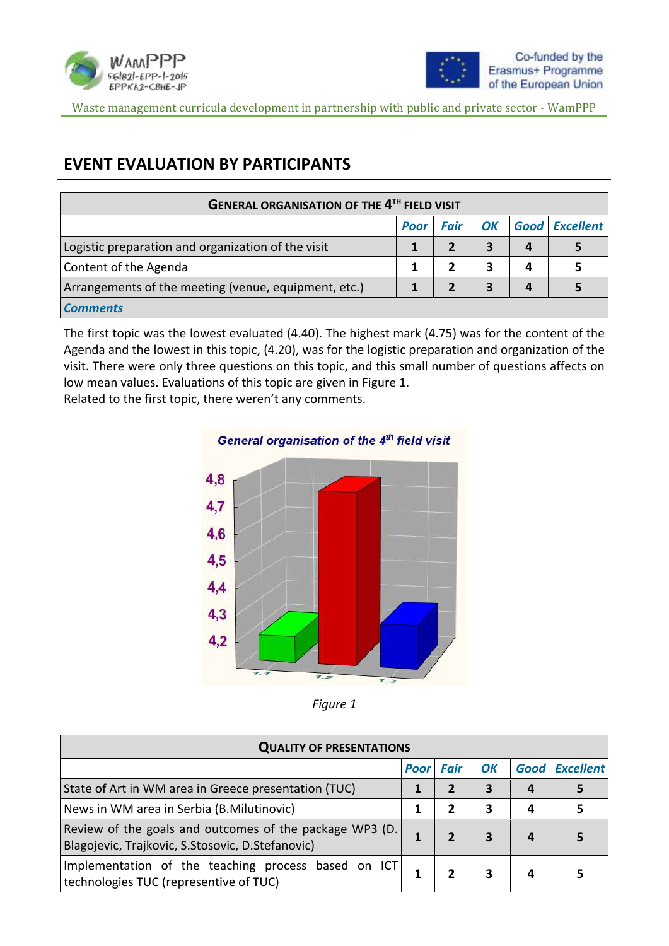



# **EVENT EVALUATION BY PARTICIPANTS**

| <b>GENERAL ORGANISATION OF THE 4TH FIELD VISIT</b>   |             |             |    |   |                       |  |
|------------------------------------------------------|-------------|-------------|----|---|-----------------------|--|
|                                                      | <b>Poor</b> | <b>Fair</b> | OK |   | <b>Good Excellent</b> |  |
| Logistic preparation and organization of the visit   |             |             | 3  | 4 |                       |  |
| Content of the Agenda                                |             |             | 3  | Δ |                       |  |
| Arrangements of the meeting (venue, equipment, etc.) |             |             | 3  |   |                       |  |
| <b>Comments</b>                                      |             |             |    |   |                       |  |

The first topic was the lowest evaluated (4.40). The highest mark (4.75) was for the content of the Agenda and the lowest in this topic, (4.20), was for the logistic preparation and organization of the visit. There were only three questions on this topic, and this small number of questions affects on low mean values. Evaluations of this topic are given in Figure 1.

Related to the first topic, there weren't any comments.





| <b>QUALITY OF PRESENTATIONS</b>                                                                             |             |             |    |   |                       |  |
|-------------------------------------------------------------------------------------------------------------|-------------|-------------|----|---|-----------------------|--|
|                                                                                                             | <b>Poor</b> | <b>Fair</b> | OK |   | <b>Good Excellent</b> |  |
| State of Art in WM area in Greece presentation (TUC)                                                        |             |             | 3  | 4 |                       |  |
| News in WM area in Serbia (B.Milutinovic)                                                                   |             | 2           | 3  | 4 | 5                     |  |
| Review of the goals and outcomes of the package WP3 (D.<br>Blagojevic, Trajkovic, S.Stosovic, D.Stefanovic) |             |             | 3  | 4 |                       |  |
| Implementation of the teaching process based on ICT<br>technologies TUC (representive of TUC)               |             |             |    | 4 |                       |  |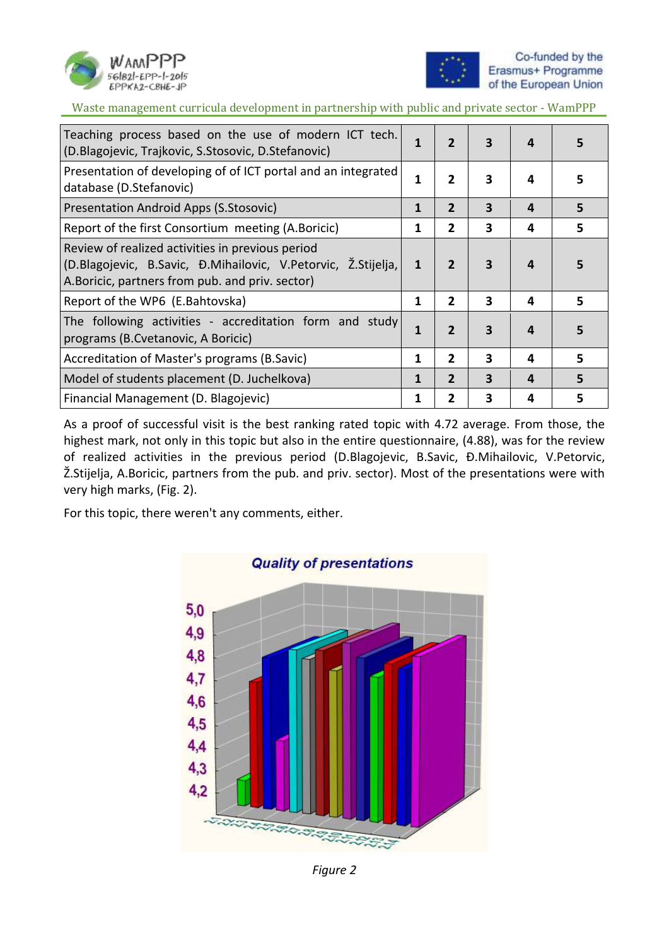



| Teaching process based on the use of modern ICT tech.<br>(D.Blagojevic, Trajkovic, S.Stosovic, D.Stefanovic)                                                         | 1 | $\overline{2}$ | 3                       | 4 | 5  |
|----------------------------------------------------------------------------------------------------------------------------------------------------------------------|---|----------------|-------------------------|---|----|
| Presentation of developing of of ICT portal and an integrated<br>database (D.Stefanovic)                                                                             | 1 | $\mathbf{2}$   | 3                       | 4 | 5  |
| Presentation Android Apps (S.Stosovic)                                                                                                                               | 1 | $\overline{2}$ | 3                       | 4 | 5  |
| Report of the first Consortium meeting (A.Boricic)                                                                                                                   | 1 | $\mathbf{2}$   | 3                       | 4 | 5  |
| Review of realized activities in previous period<br>(D.Blagojevic, B.Savic, Đ.Mihailovic, V.Petorvic, Ž.Stijelja,<br>A.Boricic, partners from pub. and priv. sector) | 1 | 2              | 3                       | 4 | 5  |
| Report of the WP6 (E.Bahtovska)                                                                                                                                      | 1 | 2              | 3                       | 4 | 5. |
| The following activities - accreditation form and study<br>programs (B. Cvetanovic, A Boricic)                                                                       | 1 | $\overline{2}$ | $\overline{\mathbf{3}}$ | 4 | 5  |
| Accreditation of Master's programs (B.Savic)                                                                                                                         | 1 | $\mathbf{2}$   | 3                       | 4 | 5  |
| Model of students placement (D. Juchelkova)                                                                                                                          | 1 | $\overline{2}$ | 3                       | 4 | 5  |
| Financial Management (D. Blagojevic)                                                                                                                                 | 1 | 2              | 3                       | 4 | 5  |

As a proof of successful visit is the best ranking rated topic with 4.72 average. From those, the highest mark, not only in this topic but also in the entire questionnaire, (4.88), was for the review of realized activities in the previous period (D.Blagojevic, B.Savic, Đ.Mihailovic, V.Petorvic, Ž.Stijelja, A.Boricic, partners from the pub. and priv. sector). Most of the presentations were with very high marks, (Fig. 2).

For this topic, there weren't any comments, either.



# **Quality of presentations**

*Figure 2*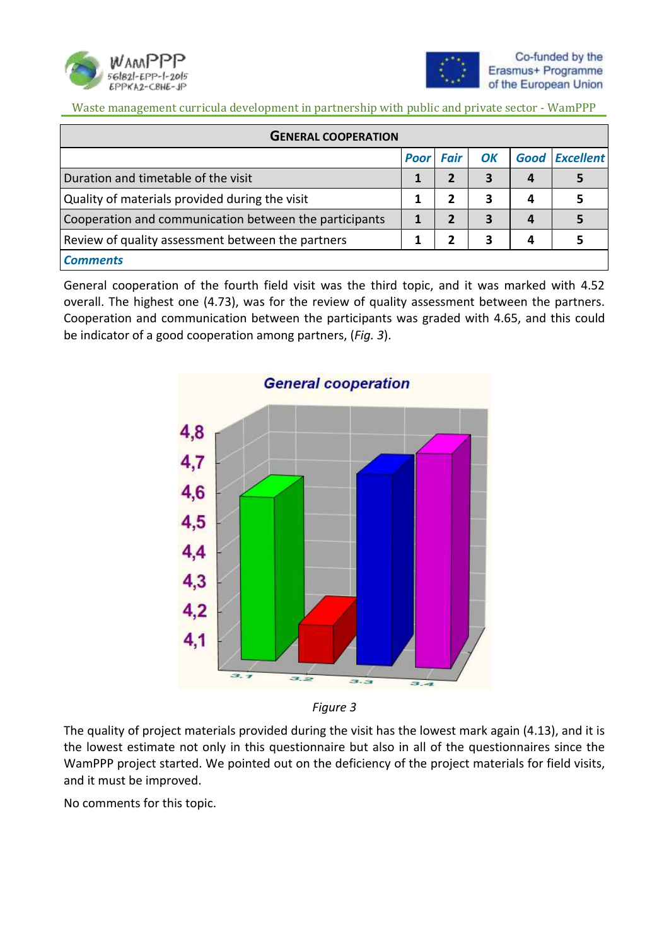



| <b>GENERAL COOPERATION</b>                             |                  |   |    |   |                       |  |  |
|--------------------------------------------------------|------------------|---|----|---|-----------------------|--|--|
|                                                        | <b>Poor Fair</b> |   | OK |   | <b>Good Excellent</b> |  |  |
| Duration and timetable of the visit                    |                  |   | 3  | 4 |                       |  |  |
| Quality of materials provided during the visit         |                  | 2 | З  | 4 |                       |  |  |
| Cooperation and communication between the participants |                  |   | 3  | 4 |                       |  |  |
| Review of quality assessment between the partners      |                  |   | 3  | 4 |                       |  |  |
| <b>Comments</b>                                        |                  |   |    |   |                       |  |  |

General cooperation of the fourth field visit was the third topic, and it was marked with 4.52 overall. The highest one (4.73), was for the review of quality assessment between the partners. Cooperation and communication between the participants was graded with 4.65, and this could be indicator of a good cooperation among partners, (*Fig. 3*).





The quality of project materials provided during the visit has the lowest mark again (4.13), and it is the lowest estimate not only in this questionnaire but also in all of the questionnaires since the WamPPP project started. We pointed out on the deficiency of the project materials for field visits, and it must be improved.

No comments for this topic.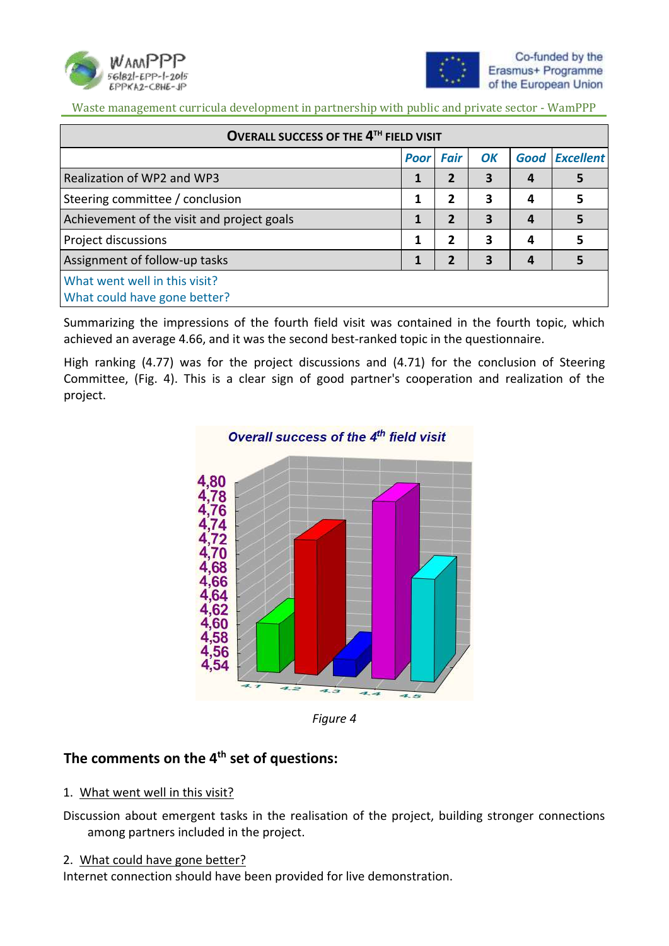



| OVERALL SUCCESS OF THE 4TH FIELD VISIT                        |                  |                |    |      |                  |  |  |  |
|---------------------------------------------------------------|------------------|----------------|----|------|------------------|--|--|--|
|                                                               | <b>Poor Fair</b> |                | OK | Good | <b>Excellent</b> |  |  |  |
| Realization of WP2 and WP3                                    | 1                | $\overline{2}$ | 3  |      | 5                |  |  |  |
| Steering committee / conclusion                               | 1                | 2              | 3  | 4    | 5                |  |  |  |
| Achievement of the visit and project goals                    | 1                | 2              | 3  |      | 5                |  |  |  |
| <b>Project discussions</b>                                    | 1                | 2              | 3  | 4    | 5                |  |  |  |
| Assignment of follow-up tasks                                 |                  | 2              | 3  |      |                  |  |  |  |
| What went well in this visit?<br>What could have gone better? |                  |                |    |      |                  |  |  |  |

Summarizing the impressions of the fourth field visit was contained in the fourth topic, which achieved an average 4.66, and it was the second best-ranked topic in the questionnaire.

High ranking (4.77) was for the project discussions and (4.71) for the conclusion of Steering Committee, (Fig. 4). This is a clear sign of good partner's cooperation and realization of the project.



*Figure 4*

### **The comments on the 4th set of questions:**

#### 1. What went well in this visit?

Discussion about emergent tasks in the realisation of the project, building stronger connections among partners included in the project.

#### 2. What could have gone better?

Internet connection should have been provided for live demonstration.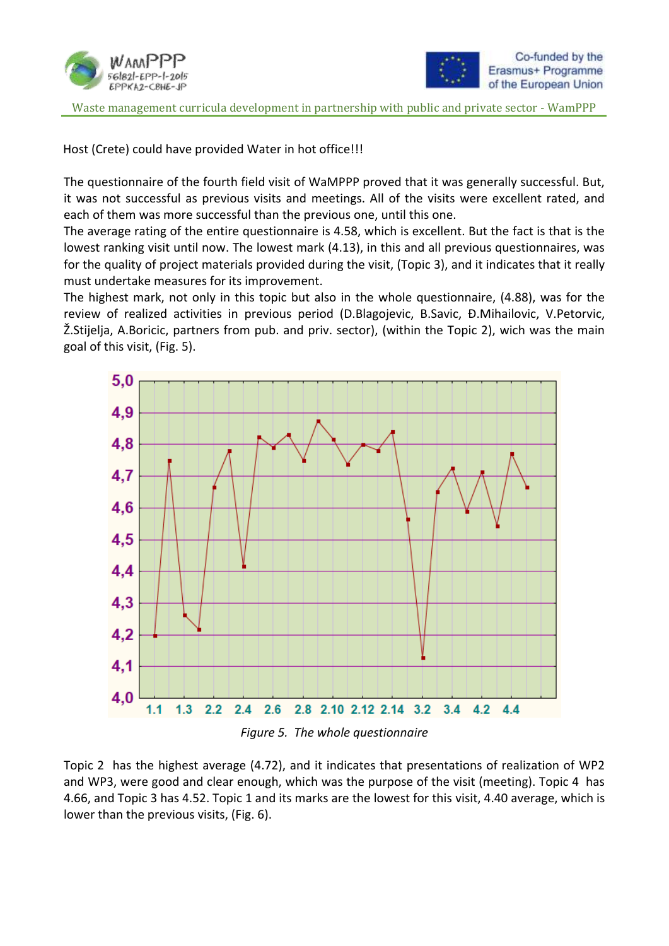



Host (Crete) could have provided Water in hot office!!!

The questionnaire of the fourth field visit of WaMPPP proved that it was generally successful. But, it was not successful as previous visits and meetings. All of the visits were excellent rated, and each of them was more successful than the previous one, until this one.

The average rating of the entire questionnaire is 4.58, which is excellent. But the fact is that is the lowest ranking visit until now. The lowest mark (4.13), in this and all previous questionnaires, was for the quality of project materials provided during the visit, (Topic 3), and it indicates that it really must undertake measures for its improvement.

The highest mark, not only in this topic but also in the whole questionnaire, (4.88), was for the review of realized activities in previous period (D.Blagojevic, B.Savic, Đ.Mihailovic, V.Petorvic, Ž.Stijelja, A.Boricic, partners from pub. and priv. sector), (within the Topic 2), wich was the main goal of this visit, (Fig. 5).



*Figure 5. The whole questionnaire*

Topic 2 has the highest average (4.72), and it indicates that presentations of realization of WP2 and WP3, were good and clear enough, which was the purpose of the visit (meeting). Topic 4 has 4.66, and Topic 3 has 4.52. Topic 1 and its marks are the lowest for this visit, 4.40 average, which is lower than the previous visits, (Fig. 6).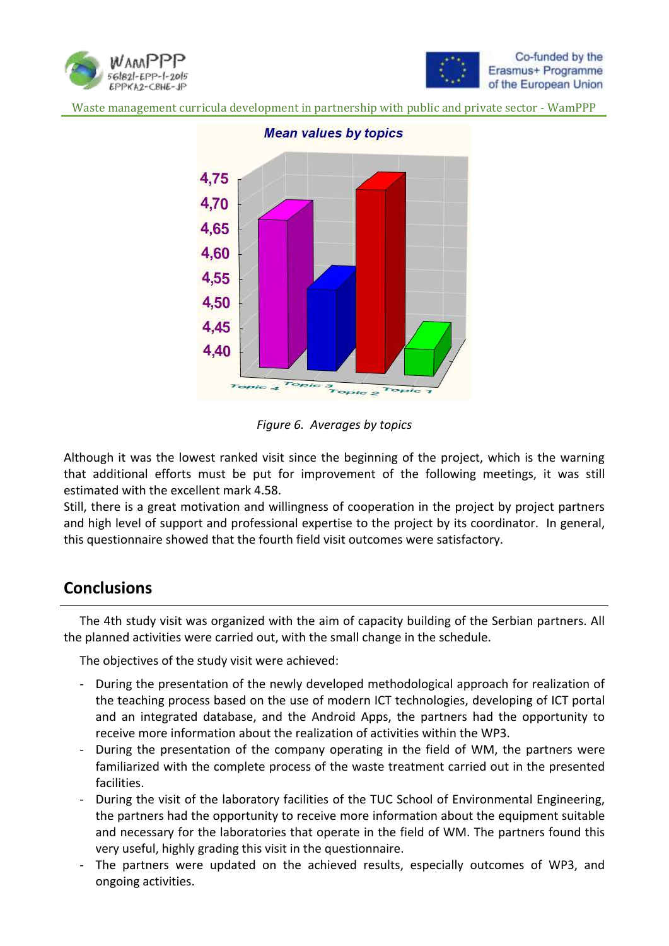





**Mean values by topics** 



Although it was the lowest ranked visit since the beginning of the project, which is the warning that additional efforts must be put for improvement of the following meetings, it was still estimated with the excellent mark 4.58.

Still, there is a great motivation and willingness of cooperation in the project by project partners and high level of support and professional expertise to the project by its coordinator. In general, this questionnaire showed that the fourth field visit outcomes were satisfactory.

# **Conclusions**

The 4th study visit was organized with the aim of capacity building of the Serbian partners. All the planned activities were carried out, with the small change in the schedule.

The objectives of the study visit were achieved:

- During the presentation of the newly developed methodological approach for realization of the teaching process based on the use of modern ICT technologies, developing of ICT portal and an integrated database, and the Android Apps, the partners had the opportunity to receive more information about the realization of activities within the WP3.
- During the presentation of the company operating in the field of WM, the partners were familiarized with the complete process of the waste treatment carried out in the presented facilities.
- During the visit of the laboratory facilities of the TUC School of Environmental Engineering, the partners had the opportunity to receive more information about the equipment suitable and necessary for the laboratories that operate in the field of WM. The partners found this very useful, highly grading this visit in the questionnaire.
- The partners were updated on the achieved results, especially outcomes of WP3, and ongoing activities.